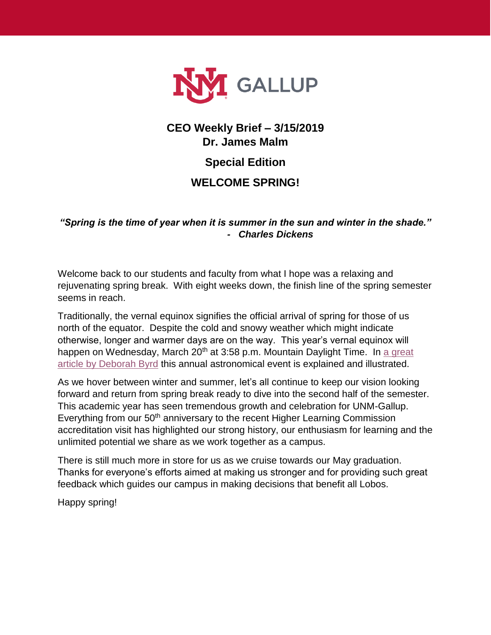

## **CEO Weekly Brief – 3/15/2019 Dr. James Malm**

**Special Edition**

## **WELCOME SPRING!**

*"Spring is the time of year when it is summer in the sun and winter in the shade." - Charles Dickens*

Welcome back to our students and faculty from what I hope was a relaxing and rejuvenating spring break. With eight weeks down, the finish line of the spring semester seems in reach.

Traditionally, the vernal equinox signifies the official arrival of spring for those of us north of the equator. Despite the cold and snowy weather which might indicate otherwise, longer and warmer days are on the way. This year's vernal equinox will happen on Wednesday, March  $20<sup>th</sup>$  at 3:58 p.m. Mountain Daylight Time. In a great [article by Deborah Byrd](https://earthsky.org/?p=68679) this annual astronomical event is explained and illustrated.

As we hover between winter and summer, let's all continue to keep our vision looking forward and return from spring break ready to dive into the second half of the semester. This academic year has seen tremendous growth and celebration for UNM-Gallup. Everything from our 50<sup>th</sup> anniversary to the recent Higher Learning Commission accreditation visit has highlighted our strong history, our enthusiasm for learning and the unlimited potential we share as we work together as a campus.

There is still much more in store for us as we cruise towards our May graduation. Thanks for everyone's efforts aimed at making us stronger and for providing such great feedback which guides our campus in making decisions that benefit all Lobos.

Happy spring!